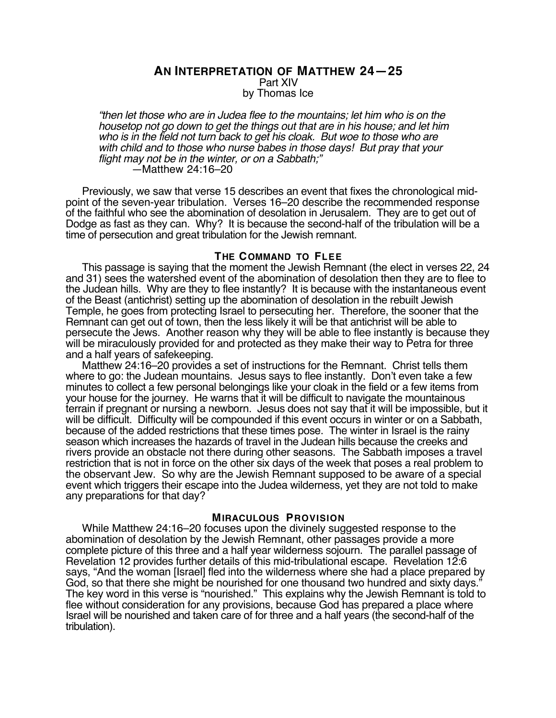## **AN INTERPRETATION OF MATTHEW 24—25** Part XIV by Thomas Ice

"then let those who are in Judea flee to the mountains; let him who is on the housetop not go down to get the things out that are in his house; and let him who is in the field not turn back to get his cloak. But woe to those who are with child and to those who nurse babes in those days! But pray that your flight may not be in the winter, or on a Sabbath;" —Matthew 24:16–20

Previously, we saw that verse 15 describes an event that fixes the chronological midpoint of the seven-year tribulation. Verses 16–20 describe the recommended response of the faithful who see the abomination of desolation in Jerusalem. They are to get out of Dodge as fast as they can. Why? It is because the second-half of the tribulation will be a time of persecution and great tribulation for the Jewish remnant.

#### **THE COMMAND TO FLEE**

This passage is saying that the moment the Jewish Remnant (the elect in verses 22, 24 and 31) sees the watershed event of the abomination of desolation then they are to flee to the Judean hills. Why are they to flee instantly? It is because with the instantaneous event of the Beast (antichrist) setting up the abomination of desolation in the rebuilt Jewish Temple, he goes from protecting Israel to persecuting her. Therefore, the sooner that the Remnant can get out of town, then the less likely it will be that antichrist will be able to persecute the Jews. Another reason why they will be able to flee instantly is because they will be miraculously provided for and protected as they make their way to Petra for three and a half years of safekeeping.

Matthew 24:16–20 provides a set of instructions for the Remnant. Christ tells them where to go: the Judean mountains. Jesus says to flee instantly. Don't even take a few minutes to collect a few personal belongings like your cloak in the field or a few items from your house for the journey. He warns that it will be difficult to navigate the mountainous terrain if pregnant or nursing a newborn. Jesus does not say that it will be impossible, but it will be difficult. Difficulty will be compounded if this event occurs in winter or on a Sabbath, because of the added restrictions that these times pose. The winter in Israel is the rainy season which increases the hazards of travel in the Judean hills because the creeks and rivers provide an obstacle not there during other seasons. The Sabbath imposes a travel restriction that is not in force on the other six days of the week that poses a real problem to the observant Jew. So why are the Jewish Remnant supposed to be aware of a special event which triggers their escape into the Judea wilderness, yet they are not told to make any preparations for that day?

#### **MIRACULOUS PROVISION**

While Matthew 24:16–20 focuses upon the divinely suggested response to the abomination of desolation by the Jewish Remnant, other passages provide a more complete picture of this three and a half year wilderness sojourn. The parallel passage of Revelation 12 provides further details of this mid-tribulational escape. Revelation 12:6 says, "And the woman [Israel] fled into the wilderness where she had a place prepared by God, so that there she might be nourished for one thousand two hundred and sixty days." The key word in this verse is "nourished." This explains why the Jewish Remnant is told to flee without consideration for any provisions, because God has prepared a place where Israel will be nourished and taken care of for three and a half years (the second-half of the tribulation).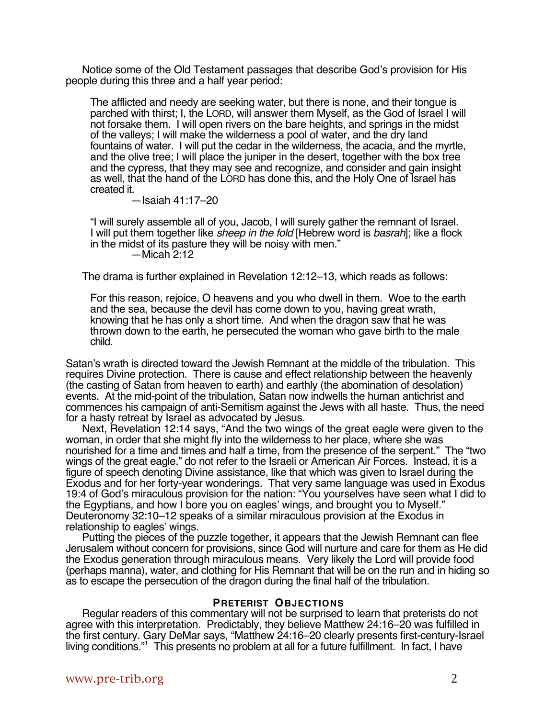Notice some of the Old Testament passages that describe God's provision for His people during this three and a half year period:

The afflicted and needy are seeking water, but there is none, and their tongue is parched with thirst; I, the LORD, will answer them Myself, as the God of Israel I will not forsake them. I will open rivers on the bare heights, and springs in the midst of the valleys; I will make the wilderness a pool of water, and the dry land fountains of water. I will put the cedar in the wilderness, the acacia, and the myrtle, and the olive tree; I will place the juniper in the desert, together with the box tree and the cypress, that they may see and recognize, and consider and gain insight as well, that the hand of the LORD has done this, and the Holy One of Israel has created it.

—Isaiah 41:17–20

"I will surely assemble all of you, Jacob, I will surely gather the remnant of Israel. I will put them together like *sheep in the fold* [Hebrew word is *basrah*]; like a flock in the midst of its pasture they will be noisy with men."  $-Micah$  2:12

The drama is further explained in Revelation 12:12–13, which reads as follows:

For this reason, rejoice, O heavens and you who dwell in them. Woe to the earth and the sea, because the devil has come down to you, having great wrath, knowing that he has only a short time. And when the dragon saw that he was thrown down to the earth, he persecuted the woman who gave birth to the male child.

Satan's wrath is directed toward the Jewish Remnant at the middle of the tribulation. This requires Divine protection. There is cause and effect relationship between the heavenly (the casting of Satan from heaven to earth) and earthly (the abomination of desolation) events. At the mid-point of the tribulation, Satan now indwells the human antichrist and commences his campaign of anti-Semitism against the Jews with all haste. Thus, the need for a hasty retreat by Israel as advocated by Jesus.

Next, Revelation 12:14 says, "And the two wings of the great eagle were given to the woman, in order that she might fly into the wilderness to her place, where she was nourished for a time and times and half a time, from the presence of the serpent." The "two wings of the great eagle," do not refer to the Israeli or American Air Forces. Instead, it is a figure of speech denoting Divine assistance, like that which was given to Israel during the Exodus and for her forty-year wonderings. That very same language was used in Exodus 19:4 of God's miraculous provision for the nation: "You yourselves have seen what I did to the Egyptians, and how I bore you on eagles' wings, and brought you to Myself." Deuteronomy 32:10–12 speaks of a similar miraculous provision at the Exodus in relationship to eagles' wings.

Putting the pieces of the puzzle together, it appears that the Jewish Remnant can flee Jerusalem without concern for provisions, since God will nurture and care for them as He did the Exodus generation through miraculous means. Very likely the Lord will provide food (perhaps manna), water, and clothing for His Remnant that will be on the run and in hiding so as to escape the persecution of the dragon during the final half of the tribulation.

## **PRETERIST OBJECTIONS**

Regular readers of this commentary will not be surprised to learn that preterists do not agree with this interpretation. Predictably, they believe Matthew 24:16–20 was fulfilled in the first century. Gary DeMar says, "Matthew 24:16–20 clearly presents first-century-Israel living conditions."1 This presents no problem at all for a future fulfillment. In fact, I have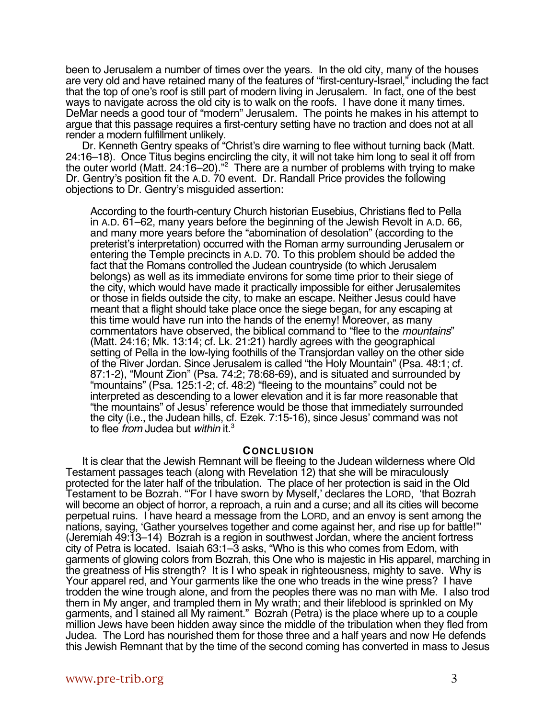been to Jerusalem a number of times over the years. In the old city, many of the houses are very old and have retained many of the features of "first-century-Israel," including the fact that the top of one's roof is still part of modern living in Jerusalem. In fact, one of the best ways to navigate across the old city is to walk on the roofs. I have done it many times. DeMar needs a good tour of "modern" Jerusalem. The points he makes in his attempt to argue that this passage requires a first-century setting have no traction and does not at all render a modern fulfillment unlikely.

Dr. Kenneth Gentry speaks of "Christ's dire warning to flee without turning back (Matt. 24:16–18). Once Titus begins encircling the city, it will not take him long to seal it off from the outer world (Matt. 24:16–20)."<sup>2</sup> There are a number of problems with trying to make Dr. Gentry's position fit the A.D. 70 event. Dr. Randall Price provides the following objections to Dr. Gentry's misguided assertion:

According to the fourth-century Church historian Eusebius, Christians fled to Pella in A.D. 61–62, many years before the beginning of the Jewish Revolt in A.D. 66, and many more years before the "abomination of desolation" (according to the preterist's interpretation) occurred with the Roman army surrounding Jerusalem or entering the Temple precincts in A.D. 70. To this problem should be added the fact that the Romans controlled the Judean countryside (to which Jerusalem belongs) as well as its immediate environs for some time prior to their siege of the city, which would have made it practically impossible for either Jerusalemites or those in fields outside the city, to make an escape. Neither Jesus could have meant that a flight should take place once the siege began, for any escaping at this time would have run into the hands of the enemy! Moreover, as many commentators have observed, the biblical command to "flee to the *mountains*" (Matt. 24:16; Mk. 13:14; cf. Lk. 21:21) hardly agrees with the geographical setting of Pella in the low-lying foothills of the Transjordan valley on the other side of the River Jordan. Since Jerusalem is called "the Holy Mountain" (Psa. 48:1; cf. 87:1-2), "Mount Zion" (Psa. 74:2; 78:68-69), and is situated and surrounded by "mountains" (Psa. 125:1-2; cf. 48:2) "fleeing to the mountains" could not be interpreted as descending to a lower elevation and it is far more reasonable that "the mountains" of Jesus' reference would be those that immediately surrounded the city (i.e., the Judean hills, cf. Ezek. 7:15-16), since Jesus' command was not to flee from Judea but within it.<sup>3</sup>

### **CONCLUSION**

It is clear that the Jewish Remnant will be fleeing to the Judean wilderness where Old Testament passages teach (along with Revelation 12) that she will be miraculously protected for the later half of the tribulation. The place of her protection is said in the Old Testament to be Bozrah. "'For I have sworn by Myself,' declares the LORD, 'that Bozrah will become an object of horror, a reproach, a ruin and a curse; and all its cities will become perpetual ruins. I have heard a message from the LORD, and an envoy is sent among the nations, saying, 'Gather yourselves together and come against her, and rise up for battle!'" (Jeremiah 49:13–14) Bozrah is a region in southwest Jordan, where the ancient fortress city of Petra is located. Isaiah 63:1–3 asks, "Who is this who comes from Edom, with garments of glowing colors from Bozrah, this One who is majestic in His apparel, marching in the greatness of His strength? It is I who speak in righteousness, mighty to save. Why is Your apparel red, and Your garments like the one who treads in the wine press? I have trodden the wine trough alone, and from the peoples there was no man with Me. I also trod them in My anger, and trampled them in My wrath; and their lifeblood is sprinkled on My garments, and I stained all My raiment." Bozrah (Petra) is the place where up to a couple million Jews have been hidden away since the middle of the tribulation when they fled from Judea. The Lord has nourished them for those three and a half years and now He defends this Jewish Remnant that by the time of the second coming has converted in mass to Jesus